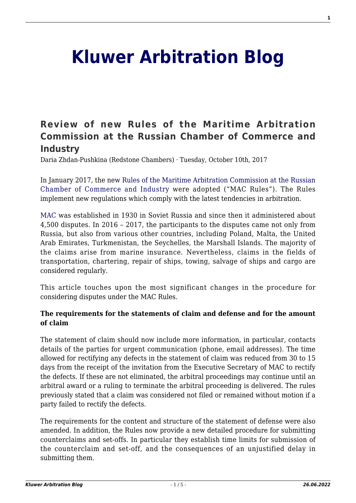# **[Kluwer Arbitration Blog](http://arbitrationblog.kluwerarbitration.com/)**

# **[Review of new Rules of the Maritime Arbitration](http://arbitrationblog.kluwerarbitration.com/2017/10/10/russia-maritime/) [Commission at the Russian Chamber of Commerce and](http://arbitrationblog.kluwerarbitration.com/2017/10/10/russia-maritime/) [Industry](http://arbitrationblog.kluwerarbitration.com/2017/10/10/russia-maritime/)**

Daria Zhdan-Pushkina (Redstone Chambers) · Tuesday, October 10th, 2017

In January 2017, the new [Rules of the Maritime Arbitration Commission at the Russian](http://mac.tpprf.ru/en/rules/) [Chamber of Commerce and Industry](http://mac.tpprf.ru/en/rules/) were adopted ("MAC Rules"). The Rules implement new regulations which comply with the latest tendencies in arbitration.

[MAC](http://mac.tpprf.ru/en) was established in 1930 in Soviet Russia and since then it administered about 4,500 disputes. In 2016 – 2017, the participants to the disputes came not only from Russia, but also from various other countries, including Poland, Malta, the United Arab Emirates, Turkmenistan, the Seychelles, the Marshall Islands. The majority of the claims arise from marine insurance. Nevertheless, claims in the fields of transportation, chartering, repair of ships, towing, salvage of ships and cargo are considered regularly.

This article touches upon the most significant changes in the procedure for considering disputes under the MAC Rules.

#### **The requirements for the statements of claim and defense and for the amount of claim**

The statement of claim should now include more information, in particular, contacts details of the parties for urgent communication (phone, email addresses). The time allowed for rectifying any defects in the statement of claim was reduced from 30 to 15 days from the receipt of the invitation from the Executive Secretary of MAC to rectify the defects. If these are not eliminated, the arbitral proceedings may continue until an arbitral award or a ruling to terminate the arbitral proceeding is delivered. The rules previously stated that a claim was considered not filed or remained without motion if a party failed to rectify the defects.

The requirements for the content and structure of the statement of defense were also amended. In addition, the Rules now provide a new detailed procedure for submitting counterclaims and set-offs. In particular they establish time limits for submission of the counterclaim and set-off, and the consequences of an unjustified delay in submitting them.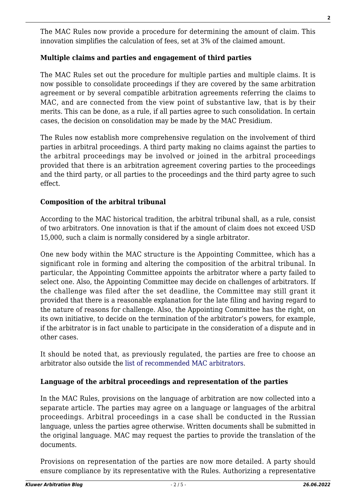The MAC Rules now provide a procedure for determining the amount of claim. This innovation simplifies the calculation of fees, set at 3% of the claimed amount.

# **Multiple claims and parties and engagement of third parties**

The MAC Rules set out the procedure for multiple parties and multiple claims. It is now possible to consolidate proceedings if they are covered by the same arbitration agreement or by several compatible arbitration agreements referring the claims to MAC, and are connected from the view point of substantive law, that is by their merits. This can be done, as a rule, if all parties agree to such consolidation. In certain cases, the decision on consolidation may be made by the MAC Presidium.

The Rules now establish more comprehensive regulation on the involvement of third parties in arbitral proceedings. A third party making no claims against the parties to the arbitral proceedings may be involved or joined in the arbitral proceedings provided that there is an arbitration agreement covering parties to the proceedings and the third party, or all parties to the proceedings and the third party agree to such effect.

### **Composition of the arbitral tribunal**

According to the MAC historical tradition, the arbitral tribunal shall, as a rule, consist of two arbitrators. One innovation is that if the amount of claim does not exceed USD 15,000, such a claim is normally considered by a single arbitrator.

One new body within the MAC structure is the Appointing Committee, which has a significant role in forming and altering the composition of the arbitral tribunal. In particular, the Appointing Committee appoints the arbitrator where a party failed to select one. Also, the Appointing Committee may decide on challenges of arbitrators. If the challenge was filed after the set deadline, the Committee may still grant it provided that there is a reasonable explanation for the late filing and having regard to the nature of reasons for challenge. Also, the Appointing Committee has the right, on its own initiative, to decide on the termination of the arbitrator's powers, for example, if the arbitrator is in fact unable to participate in the consideration of a dispute and in other cases.

It should be noted that, as previously regulated, the parties are free to choose an arbitrator also outside the [list of recommended MAC arbitrators](http://mac.tpprf.ru/en/Arbiters/).

#### **Language of the arbitral proceedings and representation of the parties**

In the MAC Rules, provisions on the language of arbitration are now collected into a separate article. The parties may agree on a language or languages of the arbitral proceedings. Arbitral proceedings in a case shall be conducted in the Russian language, unless the parties agree otherwise. Written documents shall be submitted in the original language. MAC may request the parties to provide the translation of the documents.

Provisions on representation of the parties are now more detailed. A party should ensure compliance by its representative with the Rules. Authorizing a representative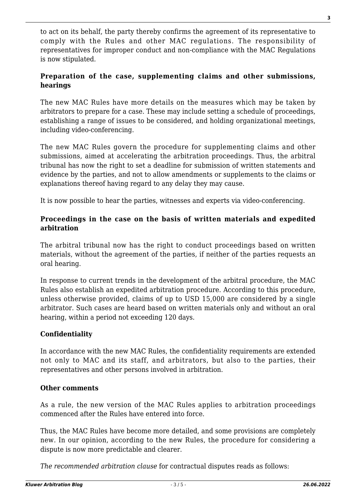to act on its behalf, the party thereby confirms the agreement of its representative to comply with the Rules and other MAC regulations. The responsibility of representatives for improper conduct and non-compliance with the MAC Regulations is now stipulated.

# **Preparation of the case, supplementing claims and other submissions, hearings**

The new MAC Rules have more details on the measures which may be taken by arbitrators to prepare for a case. These may include setting a schedule of proceedings, establishing a range of issues to be considered, and holding organizational meetings, including video-conferencing.

The new MAC Rules govern the procedure for supplementing claims and other submissions, aimed at accelerating the arbitration proceedings. Thus, the arbitral tribunal has now the right to set a deadline for submission of written statements and evidence by the parties, and not to allow amendments or supplements to the claims or explanations thereof having regard to any delay they may cause.

It is now possible to hear the parties, witnesses and experts via video-conferencing.

# **Proceedings in the case on the basis of written materials and expedited arbitration**

The arbitral tribunal now has the right to conduct proceedings based on written materials, without the agreement of the parties, if neither of the parties requests an oral hearing.

In response to current trends in the development of the arbitral procedure, the MAC Rules also establish an expedited arbitration procedure. According to this procedure, unless otherwise provided, claims of up to USD 15,000 are considered by a single arbitrator. Such cases are heard based on written materials only and without an oral hearing, within a period not exceeding 120 days.

# **Confidentiality**

In accordance with the new MAC Rules, the confidentiality requirements are extended not only to MAC and its staff, and arbitrators, but also to the parties, their representatives and other persons involved in arbitration.

#### **Other comments**

As a rule, the new version of the MAC Rules applies to arbitration proceedings commenced after the Rules have entered into force.

Thus, the MAC Rules have become more detailed, and some provisions are completely new. In our opinion, according to the new Rules, the procedure for considering a dispute is now more predictable and clearer.

*The recommended arbitration clause* for contractual disputes reads as follows: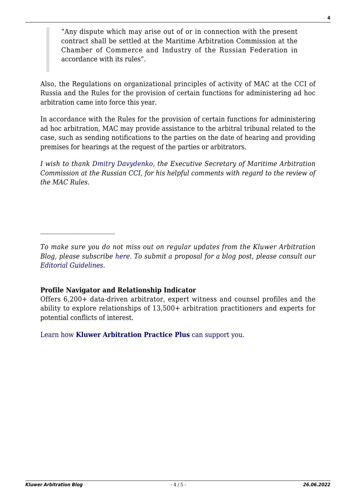"Any dispute which may arise out of or in connection with the present contract shall be settled at the Maritime Arbitration Commission at the Chamber of Commerce and Industry of the Russian Federation in accordance with its rules".

Also, the Regulations on organizational principles of activity of MAC at the CCI of Russia and the Rules for the provision of certain functions for administering ad hoc arbitration came into force this year.

In accordance with the Rules for the provision of certain functions for administering ad hoc arbitration, MAC may provide assistance to the arbitral tribunal related to the case, such as sending notifications to the parties on the date of hearing and providing premises for hearings at the request of the parties or arbitrators.

*I wish to thank [Dmitry Davydenko](http://kluwerarbitrationblog.com/author/dmitry-davydenko/), the Executive Secretary of Maritime Arbitration Commission at the Russian CCI, for his helpful comments with regard to the review of the MAC Rules.*

*To make sure you do not miss out on regular updates from the Kluwer Arbitration Blog, please subscribe [here](http://arbitrationblog.kluwerarbitration.com/newsletter/). To submit a proposal for a blog post, please consult our [Editorial Guidelines.](http://arbitrationblog.kluwerarbitration.com/editorial-guidelines/)*

#### **Profile Navigator and Relationship Indicator**

Offers 6,200+ data-driven arbitrator, expert witness and counsel profiles and the ability to explore relationships of 13,500+ arbitration practitioners and experts for potential conflicts of interest.

[Learn how](https://www.wolterskluwer.com/en/solutions/kluwerarbitration/practiceplus?utm_source=arbitrationblog&utm_medium=articleCTA&utm_campaign=article-banner) **[Kluwer Arbitration Practice Plus](https://www.wolterskluwer.com/en/solutions/kluwerarbitration/practiceplus?utm_source=arbitrationblog&utm_medium=articleCTA&utm_campaign=article-banner)** [can support you.](https://www.wolterskluwer.com/en/solutions/kluwerarbitration/practiceplus?utm_source=arbitrationblog&utm_medium=articleCTA&utm_campaign=article-banner)